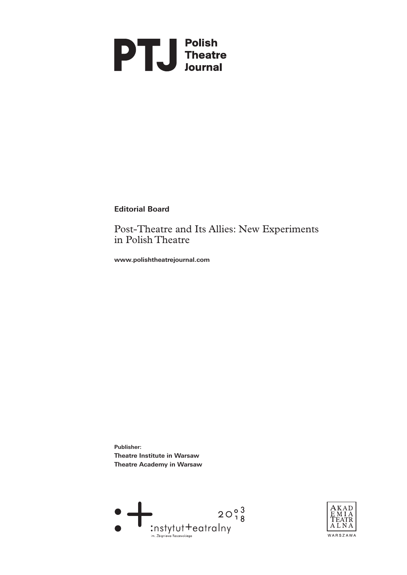

**Editorial Board**

Post-Theatre and Its Allies: New Experiments in Polish Theatre

**www.polishtheatrejournal.com**

**Publisher: Theatre Institute in Warsaw Theatre Academy in Warsaw** 



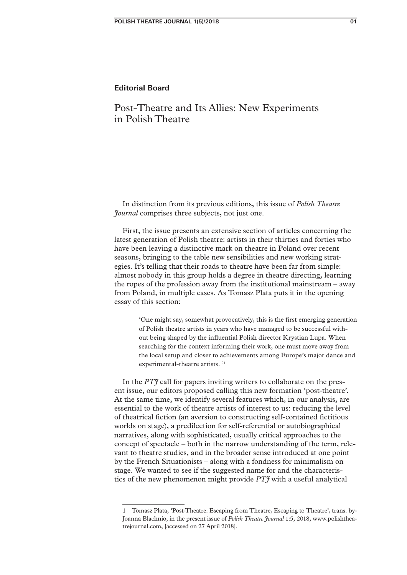# Post-Theatre and Its Allies: New Experiments in Polish Theatre

In distinction from its previous editions, this issue of *Polish Theatre Journal* comprises three subjects, not just one.

First, the issue presents an extensive section of articles concerning the latest generation of Polish theatre: artists in their thirties and forties who have been leaving a distinctive mark on theatre in Poland over recent seasons, bringing to the table new sensibilities and new working strategies. It's telling that their roads to theatre have been far from simple: almost nobody in this group holds a degree in theatre directing, learning the ropes of the profession away from the institutional mainstream – away from Poland, in multiple cases. As Tomasz Plata puts it in the opening essay of this section:

> 'One might say, somewhat provocatively, this is the first emerging generation of Polish theatre artists in years who have managed to be successful without being shaped by the influential Polish director Krystian Lupa. When searching for the context informing their work, one must move away from the local setup and closer to achievements among Europe's major dance and experimental-theatre artists.<sup>'1</sup>

In the *PT* $\hat{f}$  call for papers inviting writers to collaborate on the present issue, our editors proposed calling this new formation 'post -theatre'. At the same time, we identify several features which, in our analysis, are essential to the work of theatre artists of interest to us: reducing the level of theatrical fiction (an aversion to constructing self -contained fictitious worlds on stage), a predilection for self-referential or autobiographical narratives, along with sophisticated, usually critical approaches to the concept of spectacle – both in the narrow understanding of the term, relevant to theatre studies, and in the broader sense introduced at one point by the French Situationists – along with a fondness for minimalism on stage. We wanted to see if the suggested name for and the characteristics of the new phenomenon might provide *PTJ* with a useful analytical

<sup>1</sup> Tomasz Plata, 'Post -Theatre: Escaping from Theatre, Escaping to Theatre', trans. by-Joanna Błachnio, in the present issue of *Polish Theatre Journal* 1:5, 2018, www.polishtheatrejournal.com, [accessed on 27 April 2018].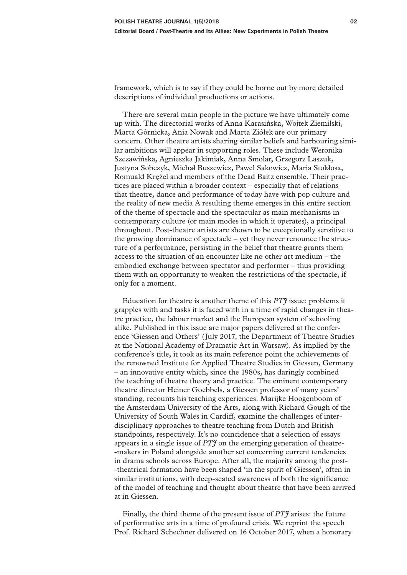framework, which is to say if they could be borne out by more detailed descriptions of individual productions or actions.

There are several main people in the picture we have ultimately come up with. The directorial works of Anna Karasińska, Wojtek Ziemilski, Marta Górnicka, Ania Nowak and Marta Ziółek are our primary concern. Other theatre artists sharing similar beliefs and harbouring similar ambitions will appear in supporting roles. These include Weronika Szczawińska, Agnieszka Jakimiak, Anna Smolar, Grzegorz Laszuk, Justyna Sobczyk, Michał Buszewicz, Paweł Sakowicz, Maria Stokłosa, Romuald Krężel and members of the Dead Baitz ensemble. Their practices are placed within a broader context – especially that of relations that theatre, dance and performance of today have with pop culture and the reality of new media A resulting theme emerges in this entire section of the theme of spectacle and the spectacular as main mechanisms in contemporary culture (or main modes in which it operates), a principal throughout. Post-theatre artists are shown to be exceptionally sensitive to the growing dominance of spectacle – yet they never renounce the structure of a performance, persisting in the belief that theatre grants them access to the situation of an encounter like no other art medium – the embodied exchange between spectator and performer – thus providing them with an opportunity to weaken the restrictions of the spectacle, if only for a moment.

Education for theatre is another theme of this *PTJ* issue: problems it grapples with and tasks it is faced with in a time of rapid changes in theatre practice, the labour market and the European system of schooling alike. Published in this issue are major papers delivered at the conference 'Giessen and Others' (July 2017, the Department of Theatre Studies at the National Academy of Dramatic Art in Warsaw). As implied by the conference's title, it took as its main reference point the achievements of the renowned Institute for Applied Theatre Studies in Giessen, Germany – an innovative entity which, since the 1980s, has daringly combined the teaching of theatre theory and practice. The eminent contemporary theatre director Heiner Goebbels, a Giessen professor of many years' standing, recounts his teaching experiences. Marijke Hoogenboom of the Amsterdam University of the Arts, along with Richard Gough of the University of South Wales in Cardiff, examine the challenges of interdisciplinary approaches to theatre teaching from Dutch and British standpoints, respectively. It's no coincidence that a selection of essays appears in a single issue of *PTJ* on the emerging generation of theatre- -makers in Poland alongside another set concerning current tendencies in drama schools across Europe. After all, the majority among the post- -theatrical formation have been shaped 'in the spirit of Giessen', often in similar institutions, with deep -seated awareness of both the significance of the model of teaching and thought about theatre that have been arrived at in Giessen.

Finally, the third theme of the present issue of *PTJ* arises: the future of performative arts in a time of profound crisis. We reprint the speech Prof. Richard Schechner delivered on 16 October 2017, when a honorary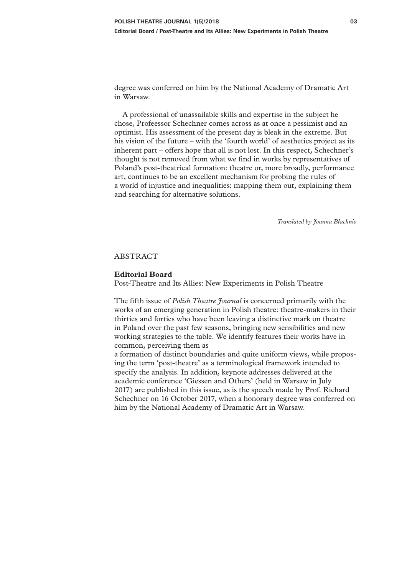degree was conferred on him by the National Academy of Dramatic Art in Warsaw.

A professional of unassailable skills and expertise in the subject he chose, Profeessor Schechner comes across as at once a pessimist and an optimist. His assessment of the present day is bleak in the extreme. But his vision of the future – with the 'fourth world' of aesthetics project as its inherent part – offers hope that all is not lost. In this respect, Schechner's thought is not removed from what we find in works by representatives of Poland's post-theatrical formation: theatre or, more broadly, performance art, continues to be an excellent mechanism for probing the rules of a world of injustice and inequalities: mapping them out, explaining them and searching for alternative solutions.

*Translated by Joanna Błachnio*

ABSTRACT

#### **Editorial Board**

Post-Theatre and Its Allies: New Experiments in Polish Theatre

The fifth issue of *Polish Theatre Journal* is concerned primarily with the works of an emerging generation in Polish theatre: theatre -makers in their thirties and forties who have been leaving a distinctive mark on theatre in Poland over the past few seasons, bringing new sensibilities and new working strategies to the table. We identify features their works have in common, perceiving them as

a formation of distinct boundaries and quite uniform views, while proposing the term 'post-theatre' as a terminological framework intended to specify the analysis. In addition, keynote addresses delivered at the academic conference 'Giessen and Others' (held in Warsaw in July 2017) are published in this issue, as is the speech made by Prof. Richard Schechner on 16 October 2017, when a honorary degree was conferred on him by the National Academy of Dramatic Art in Warsaw.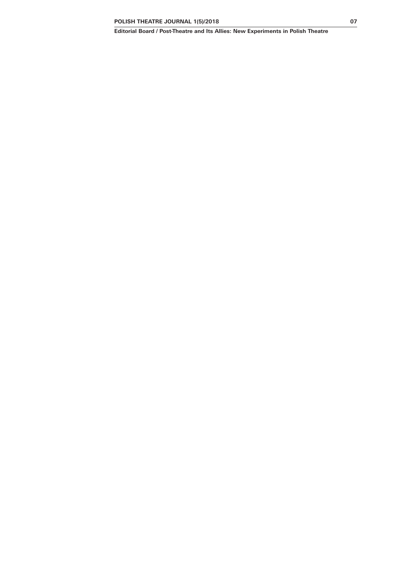### **POLISH THEATRE JOURNAL 1(5)/2018 DEVICES 2018 07**